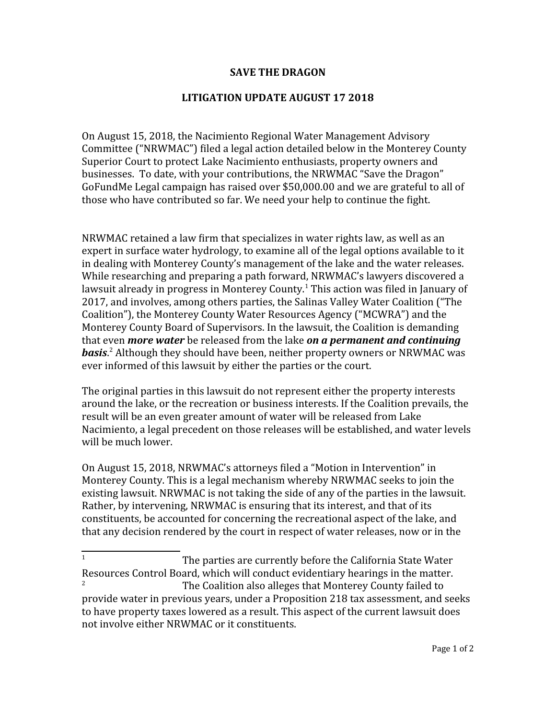## **SAVE THE DRAGON**

## **LITIGATION UPDATE AUGUST 17 2018**

On August 15, 2018, the Nacimiento Regional Water Management Advisory Committee ("NRWMAC") filed a legal action detailed below in the Monterey County Superior Court to protect Lake Nacimiento enthusiasts, property owners and businesses. To date, with your contributions, the NRWMAC "Save the Dragon" GoFundMe Legal campaign has raised over \$50,000.00 and we are grateful to all of those who have contributed so far. We need your help to continue the fight.

NRWMAC retained a law firm that specializes in water rights law, as well as an expert in surface water hydrology, to examine all of the legal options available to it in dealing with Monterey County's management of the lake and the water releases. While researching and preparing a path forward, NRWMAC's lawyers discovered a lawsuit already in progress in Monterey County.<sup>[1](#page-0-0)</sup> This action was filed in January of 2017, and involves, among others parties, the Salinas Valley Water Coalition ("The Coalition"), the Monterey County Water Resources Agency ("MCWRA") and the Monterey County Board of Supervisors. In the lawsuit, the Coalition is demanding that even *more water* be released from the lake *on a permanent and continuing basis*. [2](#page-0-1) Although they should have been, neither property owners or NRWMAC was ever informed of this lawsuit by either the parties or the court.

The original parties in this lawsuit do not represent either the property interests around the lake, or the recreation or business interests. If the Coalition prevails, the result will be an even greater amount of water will be released from Lake Nacimiento, a legal precedent on those releases will be established, and water levels will be much lower.

On August 15, 2018, NRWMAC's attorneys filed a "Motion in Intervention" in Monterey County. This is a legal mechanism whereby NRWMAC seeks to join the existing lawsuit. NRWMAC is not taking the side of any of the parties in the lawsuit. Rather, by intervening, NRWMAC is ensuring that its interest, and that of its constituents, be accounted for concerning the recreational aspect of the lake, and that any decision rendered by the court in respect of water releases, now or in the

<span id="page-0-1"></span><span id="page-0-0"></span><sup>1</sup> The parties are currently before the California State Water Resources Control Board, which will conduct evidentiary hearings in the matter. 2 The Coalition also alleges that Monterey County failed to provide water in previous years, under a Proposition 218 tax assessment, and seeks to have property taxes lowered as a result. This aspect of the current lawsuit does not involve either NRWMAC or it constituents.